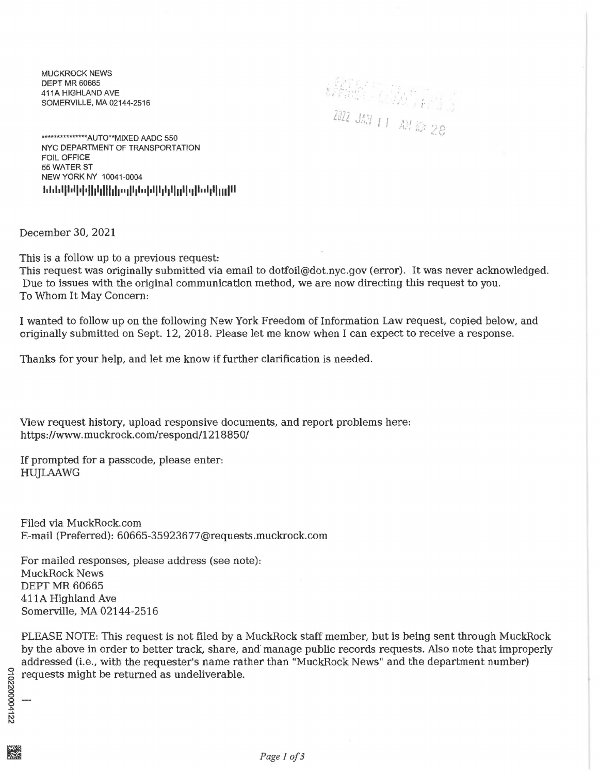MUCKROCK NEWS DEPT MR 60665 411A HIGHLAND AVE SOMERVILLE, MA 02144-2516

' . -' •• ... : • /·.~; :: ! • • 1 r· ~· ~ *:*  '

\*\*\*\*\*\*\*\*\*\*\*\*\*\*\*\*AUTO\*\*MIXED AADC 550 NYC DEPARTMENT OF TRANSPORTATION FOIL OFFICE 55 WATER ST NEW YORK NY 10041-0004 **I.I.I.III•II•I•IIIIIIIIIII••JIIII.'I•IIIIIIIIIIII•all••llllllllll** 

December 30, 2021

This is a follow up to a previous request:

This request was originally submitted via email to dotfoil@dot.nyc.gov (error). It was never acknowledged. Due to issues with the original communication method, we are now directing this request to you. To Whom It May Concern:

I wanted to follow up on the following New York Freedom of Information Law request, copied below, and originally submitted on Sept. 12, 2018. Please let me know when I can expect to receive a response.

Thanks for your help, and let me know if further clarification is needed.

View request history, upload responsive documents, and report problems here: https://www.muckrock.com/respond/1218850/

If prompted for a passcode, please enter: HUJLAAWG

Filed via MuckRock.com E-mail (Preferred): 60665-359236 77 @requests.muckrock.com

For mailed responses, please address (see note): MuckRock News DEPT MR 60665 411A Highland Ave Somerville, MA 02144-2516

PLEASE NOTE: This request is not filed by a MuckRock staff member, but is being sent through MuckRock by the above in order to better track, share, and· manage public records requests. Also note that improperly addressed (i.e., with the requester's name rather than "MuckRock News" and the department number) <sup>~</sup>**requests might be returned as undeliverable.** <sup>2</sup>

17000041 ~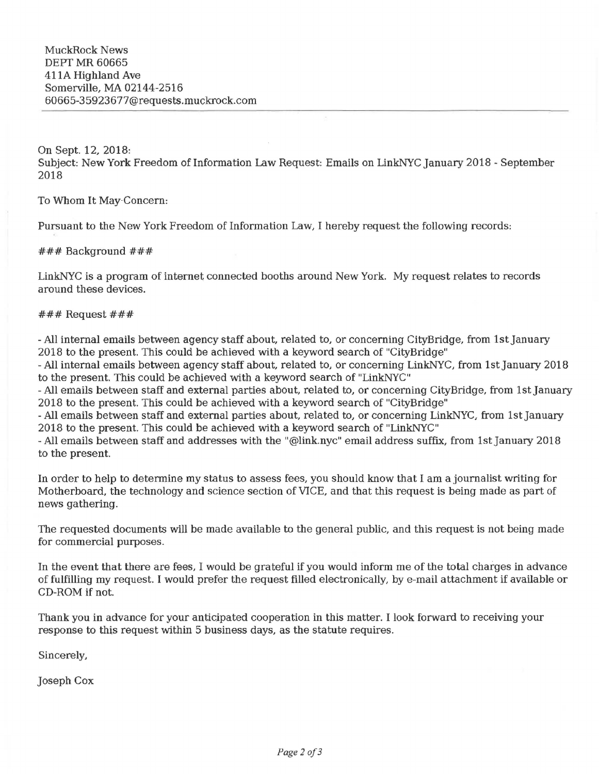On Sept. 12, 2018: Subject: New York Freedom of Information Law Request: Emails on LinkNYC January 2018 - September 2018

To Whom It May-Concern:

Pursuant to the New York Freedom of Information Law, I hereby request the following records:

### Background ###

LinkNYC is a program of internet connected booths around New York. My request relates to records around these devices.

## $\#$ ## Request  $\#$ ##

-All internal emails between agency staff about. related to, or concerning CityBridge, from 1st january 2018 to the present. This could be achieved with a keyword search of "CityBridge"

- All internal emails between agency staff about, related to, or concerning LinkNYC, from 1st January 2018 to the present. This could be achieved with a keyword search of "LinkNYC"

-All emails between staff and external parties about, related to, or concerning CityBridge, from 1st january 2018 to the present. This could be achieved with a keyword search of "CityBridge"

-All emails between staff and external parties about, related to, or concerning LinkNYC, from 1st january 2018 to the present. This could be achieved with a keyword search of "LinkNYC"

-All emails between staff and addresses with the "@link.nyc" email address suffix, from 1st january 2018 to the present.

In order to help to determine my status to assess fees, you should know that I am a journalist writing for Motherboard, the technology and science section of VICE, and that this request is being made as part of news gathering.

The requested documents will be made available to the general public, and this request is not being made for commercial purposes.

In the event that there are fees, I would be grateful if you would inform me of the total charges in advance of fulfilling my request. I would prefer the request filled electronically, by e-mail attachment if available or CD-ROM if not.

Thank you in advance for your anticipated cooperation in this matter. I look forward to receiving your response to this request within 5 business days, as the statute requires.

Sincerely,

joseph Cox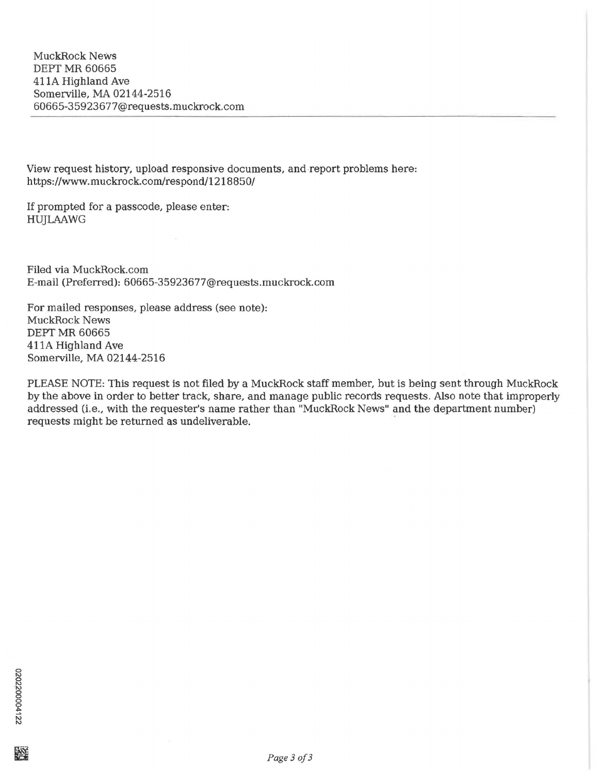View request history, upload responsive documents, and report problems here: https://www.muckrock.com/respond/1218850/

If prompted for a passcode, please enter: HUJLAAWG

Filed via MuckRock.com E-mail (Preferred): 60665-35923677@requests.muckrock.com

For mailed responses, please address (see note): MuckRock News DEPT MR 60665 411A Highland Ave Somerville, MA 02144-2516

PLEASE NOTE: This request is not filed by a MuckRock staff member, but is being sent through MuckRock by the above in order to better track, share, and manage public records requests. Also note that improperly addressed (i.e., with the requester's name rather than "MuckRock News" and the department number) requests might be returned as undeliverable.